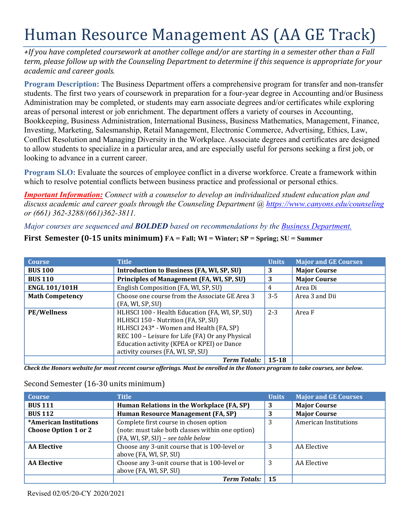# Human Resource Management AS (AA GE Track)

*+If you have completed coursework at another college and/or are starting in a semester other than a Fall term, please follow up with the Counseling Department to determine if this sequence is appropriate for your academic and career goals.* 

 students. The first two years of coursework in preparation for a four-year degree in Accounting and/or Business Conflict Resolution and Managing Diversity in the Workplace. Associate degrees and certificates are designed to allow students to specialize in a particular area, and are especially useful for persons seeking a first job, or **Program Description:** The Business Department offers a comprehensive program for transfer and non-transfer Administration may be completed, or students may earn associate degrees and/or certificates while exploring areas of personal interest or job enrichment. The department offers a variety of courses in Accounting, Bookkeeping, Business Administration, International Business, Business Mathematics, Management, Finance, Investing, Marketing, Salesmanship, Retail Management, Electronic Commerce, Advertising, Ethics, Law, looking to advance in a current career.

**Program SLO:** Evaluate the sources of employee conflict in a diverse workforce. Create a framework within which to resolve potential conflicts between business practice and professional or personal ethics.

*Important Information: Connect with a counselor to develop an individualized student education plan and discuss academic and career goals through the Counseling Department @ <https://www.canyons.edu/counseling> or (661) 362-3288/(661)362-3811.* 

## *Major courses are sequenced and BOLDED based on recommendations by the Business Department.*

#### **First Semester (0-15 units minimum) FA = Fall; WI = Winter; SP = Spring; SU = Summer**

| <b>Course</b>          | <b>Title</b>                                                                                                                                                                                                                                                           | <b>Units</b> | <b>Major and GE Courses</b> |
|------------------------|------------------------------------------------------------------------------------------------------------------------------------------------------------------------------------------------------------------------------------------------------------------------|--------------|-----------------------------|
| <b>BUS 100</b>         | Introduction to Business (FA, WI, SP, SU)                                                                                                                                                                                                                              | 3            | <b>Major Course</b>         |
| <b>BUS 110</b>         | Principles of Management (FA, WI, SP, SU)                                                                                                                                                                                                                              | 3            | <b>Major Course</b>         |
| <b>ENGL 101/101H</b>   | English Composition (FA, WI, SP, SU)                                                                                                                                                                                                                                   | 4            | Area Di                     |
| <b>Math Competency</b> | Choose one course from the Associate GE Area 3<br>(FA, WI, SP, SU)                                                                                                                                                                                                     | $3 - 5$      | Area 3 and Dii              |
| <b>PE/Wellness</b>     | HLHSCI 100 - Health Education (FA, WI, SP, SU)<br>HLHSCI 150 - Nutrition (FA, SP, SU)<br>HLHSCI 243* - Women and Health (FA, SP)<br>REC 100 - Leisure for Life (FA) Or any Physical<br>Education activity (KPEA or KPEI) or Dance<br>activity courses (FA, WI, SP, SU) | $2 - 3$      | Area F                      |
|                        | <b>Term Totals:</b> 15-18                                                                                                                                                                                                                                              |              |                             |

*Check the Honors website for most recent course offerings. Must be enrolled in the Honors program to take courses, see below.* 

# Second Semester (16-30 units minimum)

| <b>Course</b>                                         | <b>Title</b>                                                                                                                     | <b>Units</b> | <b>Major and GE Courses</b>  |
|-------------------------------------------------------|----------------------------------------------------------------------------------------------------------------------------------|--------------|------------------------------|
| <b>BUS 111</b>                                        | Human Relations in the Workplace (FA, SP)                                                                                        | 3            | <b>Major Course</b>          |
| <b>BUS 112</b>                                        | Human Resource Management (FA, SP)                                                                                               | 3            | <b>Major Course</b>          |
| *American Institutions<br><b>Choose Option 1 or 2</b> | Complete first course in chosen option<br>(note: must take both classes within one option)<br>(FA, WI, SP, SU) - see table below | 3            | <b>American Institutions</b> |
| <b>AA Elective</b>                                    | Choose any 3-unit course that is 100-level or<br>above (FA, WI, SP, SU)                                                          | 3            | AA Elective                  |
| <b>AA Elective</b>                                    | Choose any 3-unit course that is 100-level or<br>above (FA, WI, SP, SU)                                                          | 3            | AA Elective                  |
|                                                       | <b>Term Totals:</b>                                                                                                              | 15           |                              |

Revised 02/05/20-CY 2020/2021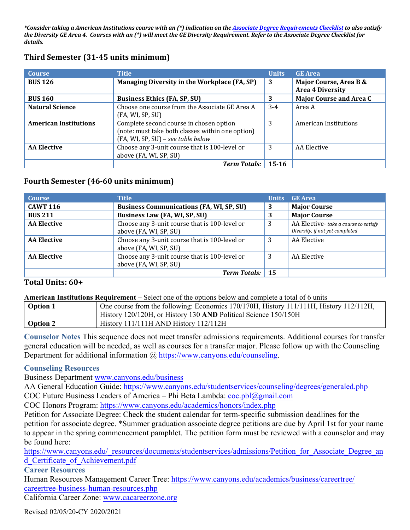*\*Consider taking a American Institutions course with an (\*) indication on the Associate Degree Requirements Checklist to also satisfy the Diversity GE Area 4. Courses with an (\*) will meet the GE Diversity Requirement. Refer to the Associate Degree Checklist for details.* 

| <b>Course</b>                | <b>Title</b>                                                                                                                      | <b>Units</b> | <b>GE</b> Area                                    |
|------------------------------|-----------------------------------------------------------------------------------------------------------------------------------|--------------|---------------------------------------------------|
| <b>BUS 126</b>               | Managing Diversity in the Workplace (FA, SP)                                                                                      | 3            | Major Course, Area B &<br><b>Area 4 Diversity</b> |
| <b>BUS 160</b>               | <b>Business Ethics (FA, SP, SU)</b>                                                                                               | 3            | <b>Major Course and Area C</b>                    |
| <b>Natural Science</b>       | Choose one course from the Associate GE Area A<br>(FA, WI, SP, SU)                                                                | $3-4$        | Area A                                            |
| <b>American Institutions</b> | Complete second course in chosen option<br>(note: must take both classes within one option)<br>(FA, WI, SP, SU) - see table below | 3            | American Institutions                             |
| <b>AA Elective</b>           | Choose any 3-unit course that is 100-level or<br>above (FA, WI, SP, SU)                                                           | 3            | AA Elective                                       |
|                              | <b>Term Totals:</b>                                                                                                               | $15 - 16$    |                                                   |

## **Third Semester (31-45 units minimum)**

## **Fourth Semester (46-60 units minimum)**

| <b>Course</b>      | <b>Title</b>                                                            | <b>Units</b> | GE Area                                                                 |
|--------------------|-------------------------------------------------------------------------|--------------|-------------------------------------------------------------------------|
| <b>CAWT 116</b>    | <b>Business Communications (FA, WI, SP, SU)</b>                         | 3            | <b>Major Course</b>                                                     |
| <b>BUS 211</b>     | Business Law (FA, WI, SP, SU)                                           |              | <b>Major Course</b>                                                     |
| <b>AA Elective</b> | Choose any 3-unit course that is 100-level or<br>above (FA, WI, SP, SU) | 3            | AA Elective-take a course to satisfy<br>Diversity, if not yet completed |
| <b>AA Elective</b> | Choose any 3-unit course that is 100-level or<br>above (FA, WI, SP, SU) | 3            | AA Elective                                                             |
| <b>AA Elective</b> | Choose any 3-unit course that is 100-level or<br>above (FA, WI, SP, SU) | 3            | AA Elective                                                             |
|                    | <b>Term Totals:</b>                                                     | 15           |                                                                         |

## **Total Units: 60+**

**American Institutions Requirement –** Select one of the options below and complete a total of 6 units

| <b>Option 1</b> | One course from the following: Economics 170/170H, History 111/111H, History 112/112H, |
|-----------------|----------------------------------------------------------------------------------------|
|                 | History 120/120H, or History 130 AND Political Science 150/150H                        |
| Option 2        | History 111/111H AND History 112/112H                                                  |

**Counselor Notes** This sequence does not meet transfer admissions requirements. Additional courses for transfer general education will be needed, as well as courses for a transfer major. Please follow up with the Counseling Department for additional information @ [https://www.canyons.edu/counseling.](https://www.canyons.edu/counseling)

#### **Counseling Resources**

Business Department<www.canyons.edu/business>

AA General Education Guide: <u><https://www.canyons.edu/studentservices/counseling/degrees/generaled.php></u><br>COC Future Business Leaders of America – Phi Beta Lambda: <u>coc.pbl@gmail.com</u>

COC Honors Program: <https://www.canyons.edu/academics/honors/index.php>

Petition for Associate Degree: Check the student calendar for term-specific submission deadlines for the petition for associate degree. \*Summer graduation associate degree petitions are due by April 1st for your name to appear in the spring commencement pamphlet. The petition form must be reviewed with a counselor and may be found here:

[https://www.canyons.edu/\\_resources/documents/studentservices/admissions/Petition\\_for\\_Associate\\_Degree\\_an](https://www.canyons.edu/_resources/documents/studentservices/admissions/Petition_for_Associate_Degree_an) d\_Certificate\_of\_Achievement.pdf

**Career Resources** 

 careertree-business-human-resources.php Human Resources Management Career Tree: [https://www.canyons.edu/academics/business/careertree/](https://www.canyons.edu/academics/business/careertree)

California Career Zone: www.[cacareerzone.org](www.cacareerzone.org)

Revised 02/05/20-CY 2020/2021